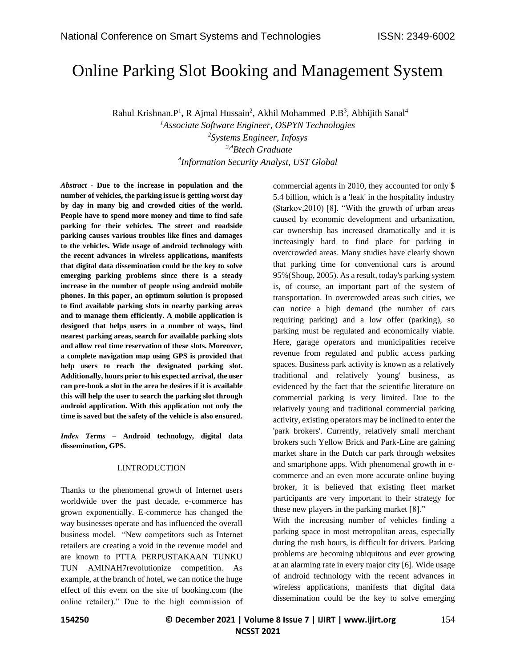# Online Parking Slot Booking and Management System

Rahul Krishnan. P<sup>1</sup>, R Ajmal Hussain<sup>2</sup>, Akhil Mohammed P.B<sup>3</sup>, Abhijith Sanal<sup>4</sup>

*Associate Software Engineer, OSPYN Technologies Systems Engineer, Infosys 3,4Btech Graduate Information Security Analyst, UST Global*

*Abstract -* **Due to the increase in population and the number of vehicles, the parking issue is getting worst day by day in many big and crowded cities of the world. People have to spend more money and time to find safe parking for their vehicles. The street and roadside parking causes various troubles like fines and damages to the vehicles. Wide usage of android technology with the recent advances in wireless applications, manifests that digital data dissemination could be the key to solve emerging parking problems since there is a steady increase in the number of people using android mobile phones. In this paper, an optimum solution is proposed to find available parking slots in nearby parking areas and to manage them efficiently. A mobile application is designed that helps users in a number of ways, find nearest parking areas, search for available parking slots and allow real time reservation of these slots. Moreover, a complete navigation map using GPS is provided that help users to reach the designated parking slot. Additionally, hours prior to his expected arrival, the user can pre-book a slot in the area he desires if it is available this will help the user to search the parking slot through android application. With this application not only the time is saved but the safety of the vehicle is also ensured.**

*Index Terms –* **Android technology, digital data dissemination, GPS.**

### I.INTRODUCTION

Thanks to the phenomenal growth of Internet users worldwide over the past decade, e-commerce has grown exponentially. E-commerce has changed the way businesses operate and has influenced the overall business model. "New competitors such as Internet retailers are creating a void in the revenue model and are known to PTTA PERPUSTAKAAN TUNKU TUN AMINAH7revolutionize competition. As example, at the branch of hotel, we can notice the huge effect of this event on the site of booking.com (the online retailer)." Due to the high commission of commercial agents in 2010, they accounted for only \$ 5.4 billion, which is a 'leak' in the hospitality industry (Starkov,2010) [8]. "With the growth of urban areas caused by economic development and urbanization, car ownership has increased dramatically and it is increasingly hard to find place for parking in overcrowded areas. Many studies have clearly shown that parking time for conventional cars is around 95%(Shoup, 2005). As a result, today's parking system is, of course, an important part of the system of transportation. In overcrowded areas such cities, we can notice a high demand (the number of cars requiring parking) and a low offer (parking), so parking must be regulated and economically viable. Here, garage operators and municipalities receive revenue from regulated and public access parking spaces. Business park activity is known as a relatively traditional and relatively 'young' business, as evidenced by the fact that the scientific literature on commercial parking is very limited. Due to the relatively young and traditional commercial parking activity, existing operators may be inclined to enter the 'park brokers'. Currently, relatively small merchant brokers such Yellow Brick and Park-Line are gaining market share in the Dutch car park through websites and smartphone apps. With phenomenal growth in ecommerce and an even more accurate online buying broker, it is believed that existing fleet market participants are very important to their strategy for these new players in the parking market [8]."

With the increasing number of vehicles finding a parking space in most metropolitan areas, especially during the rush hours, is difficult for drivers. Parking problems are becoming ubiquitous and ever growing at an alarming rate in every major city [6]. Wide usage of android technology with the recent advances in wireless applications, manifests that digital data dissemination could be the key to solve emerging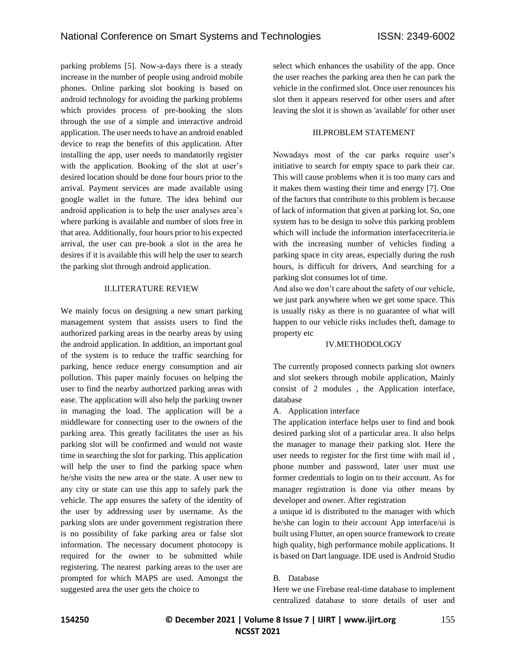parking problems [5]. Now-a-days there is a steady increase in the number of people using android mobile phones. Online parking slot booking is based on android technology for avoiding the parking problems which provides process of pre-booking the slots through the use of a simple and interactive android application. The user needs to have an android enabled device to reap the benefits of this application. After installing the app, user needs to mandatorily register with the application. Booking of the slot at user's desired location should be done four hours prior to the arrival. Payment services are made available using google wallet in the future. The idea behind our android application is to help the user analyses area's where parking is available and number of slots free in that area. Additionally, four hours prior to his expected arrival, the user can pre-book a slot in the area he desires if it is available this will help the user to search the parking slot through android application.

### II.LITERATURE REVIEW

We mainly focus on designing a new smart parking management system that assists users to find the authorized parking areas in the nearby areas by using the android application. In addition, an important goal of the system is to reduce the traffic searching for parking, hence reduce energy consumption and air pollution. This paper mainly focuses on helping the user to find the nearby authorized parking areas with ease. The application will also help the parking owner in managing the load. The application will be a middleware for connecting user to the owners of the parking area. This greatly facilitates the user as his parking slot will be confirmed and would not waste time in searching the slot for parking. This application will help the user to find the parking space when he/she visits the new area or the state. A user new to any city or state can use this app to safely park the vehicle. The app ensures the safety of the identity of the user by addressing user by username. As the parking slots are under government registration there is no possibility of fake parking area or false slot information. The necessary document photocopy is required for the owner to be submitted while registering. The nearest parking areas to the user are prompted for which MAPS are used. Amongst the suggested area the user gets the choice to

select which enhances the usability of the app. Once the user reaches the parking area then he can park the vehicle in the confirmed slot. Once user renounces his slot then it appears reserved for other users and after leaving the slot it is shown as 'available' for other user

### **III PROBLEM STATEMENT**

Nowadays most of the car parks require user's initiative to search for empty space to park their car. This will cause problems when it is too many cars and it makes them wasting their time and energy [7]. One of the factors that contribute to this problem is because of lack of information that given at parking lot. So, one system has to be design to solve this parking problem which will include the information interfacecriteria.ie with the increasing number of vehicles finding a parking space in city areas, especially during the rush hours, is difficult for drivers, And searching for a parking slot consumes lot of time.

And also we don't care about the safety of our vehicle, we just park anywhere when we get some space. This is usually risky as there is no guarantee of what will happen to our vehicle risks includes theft, damage to property etc

### IV.METHODOLOGY

The currently proposed connects parking slot owners and slot seekers through mobile application, Mainly consist of 2 modules , the Application interface, database

A. Application interface

The application interface helps user to find and book desired parking slot of a particular area. It also helps the manager to manage their parking slot. Here the user needs to register for the first time with mail id , phone number and password, later user must use former credentials to login on to their account. As for manager registration is done via other means by developer and owner. After registration

a unique id is distributed to the manager with which he/she can login to their account App interface/ui is built using Flutter, an open source framework to create high quality, high performance mobile applications. It is based on Dart language. IDE used is Android Studio

### B. Database

Here we use Firebase real-time database to implement centralized database to store details of user and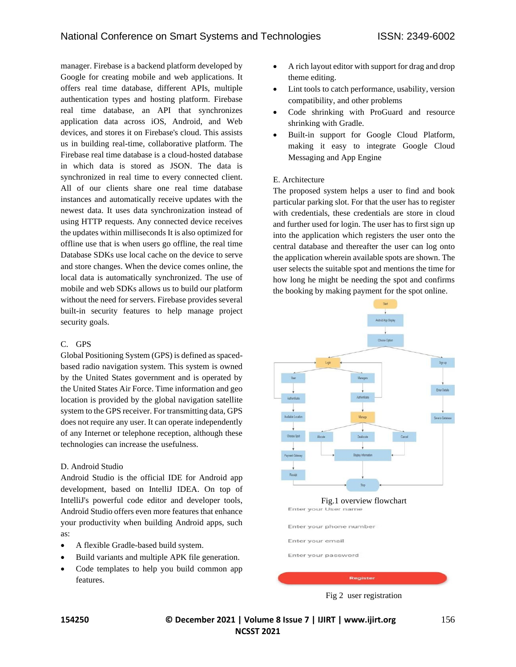manager. Firebase is a backend platform developed by Google for creating mobile and web applications. It offers real time database, different APIs, multiple authentication types and hosting platform. Firebase real time database, an API that synchronizes application data across iOS, Android, and Web devices, and stores it on Firebase's cloud. This assists us in building real-time, collaborative platform. The Firebase real time database is a cloud-hosted database in which data is stored as JSON. The data is synchronized in real time to every connected client. All of our clients share one real time database instances and automatically receive updates with the newest data. It uses data synchronization instead of using HTTP requests. Any connected device receives the updates within milliseconds It is also optimized for offline use that is when users go offline, the real time Database SDKs use local cache on the device to serve and store changes. When the device comes online, the local data is automatically synchronized. The use of mobile and web SDKs allows us to build our platform without the need for servers. Firebase provides several built-in security features to help manage project security goals.

### C. GPS

Global Positioning System (GPS) is defined as spacedbased radio navigation system. This system is owned by the United States government and is operated by the United States Air Force. Time information and geo location is provided by the global navigation satellite system to the GPS receiver. For transmitting data, GPS does not require any user. It can operate independently of any Internet or telephone reception, although these technologies can increase the usefulness.

# D. Android Studio

Android Studio is the official IDE for Android app development, based on IntelliJ IDEA. On top of IntelliJ's powerful code editor and developer tools, Android Studio offers even more features that enhance your productivity when building Android apps, such as:

- A flexible Gradle-based build system.
- Build variants and multiple APK file generation.
- Code templates to help you build common app features.
- A rich layout editor with support for drag and drop theme editing.
- Lint tools to catch performance, usability, version compatibility, and other problems
- Code shrinking with ProGuard and resource shrinking with Gradle.
- Built-in support for Google Cloud Platform, making it easy to integrate Google Cloud Messaging and App Engine

## E. Architecture

The proposed system helps a user to find and book particular parking slot. For that the user has to register with credentials, these credentials are store in cloud and further used for login. The user has to first sign up into the application which registers the user onto the central database and thereafter the user can log onto the application wherein available spots are shown. The user selects the suitable spot and mentions the time for how long he might be needing the spot and confirms the booking by making payment for the spot online.



Fig 2 user registration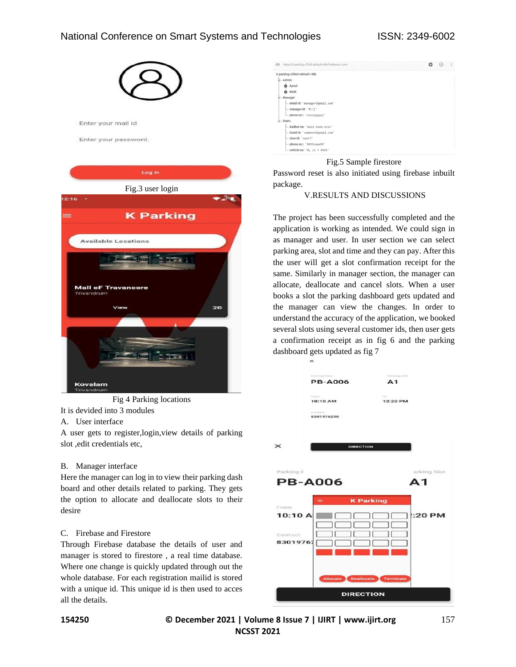# National Conference on Smart Systems and Technologies ISSN: 2349-6002





Fig 4 Parking locations

It is devided into 3 modules

# A. User interface

A user gets to register,login,view details of parking slot ,edit credentials etc,

### B. Manager interface

Here the manager can log in to view their parking dash board and other details related to parking. They gets the option to allocate and deallocate slots to their desire

### C. Firebase and Firestore

Through Firebase database the details of user and manager is stored to firestore , a real time database. Where one change is quickly updated through out the whole database. For each registration mailid is stored with a unique id. This unique id is then used to acces all the details.



#### Fig.5 Sample firestore

Password reset is also initiated using firebase inbuilt package.

### V.RESULTS AND DISCUSSIONS

The project has been successfully completed and the application is working as intended. We could sign in as manager and user. In user section we can select parking area, slot and time and they can pay. After this the user will get a slot confirmation receipt for the same. Similarly in manager section, the manager can allocate, deallocate and cancel slots. When a user books a slot the parking dashboard gets updated and the manager can view the changes. In order to understand the accuracy of the application, we booked several slots using several customer ids, then user gets a confirmation receipt as in fig 6 and the parking dashboard gets updated as fig 7



**154250 © December 2021 | Volume 8 Issue 7 | IJIRT | www.ijirt.org** 157 **NCSST 2021**